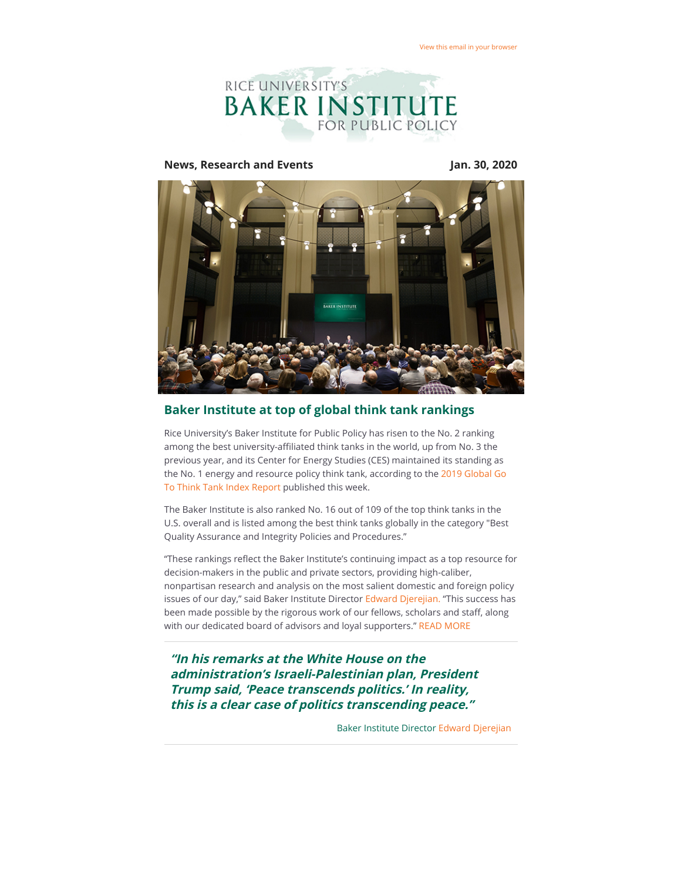

#### **News, Research and Events Jan. 30, 2020**



# **Baker Institute at top of global think tank rankings**

Rice University's Baker Institute for Public Policy has risen to the No. 2 ranking among the best university-affiliated think tanks in the world, up from No. 3 the previous year, and its Center for Energy Studies (CES) maintained its standing as [the No. 1 energy and resource policy think tank, according to the 2019 Global Go](https://riceconnect.rice.edu/page.redir?target=https%3a%2f%2frepository.upenn.edu%2fcgi%2fviewcontent.cgi%3farticle%3d1018%26context%3dthink_tanks&srcid=123525&srctid=1&erid=d42eef96-2cec-4327-8f6a-001af7e118d7&trid=d42eef96-2cec-4327-8f6a-001af7e118d7) To Think Tank Index Report published this week.

The Baker Institute is also ranked No. 16 out of 109 of the top think tanks in the U.S. overall and is listed among the best think tanks globally in the category "Best Quality Assurance and Integrity Policies and Procedures."

"These rankings reflect the Baker Institute's continuing impact as a top resource for decision-makers in the public and private sectors, providing high-caliber, nonpartisan research and analysis on the most salient domestic and foreign policy issues of our day," said Baker Institute Director [Edward Djerejian.](https://riceconnect.rice.edu/page.redir?target=http%3a%2f%2fwww.bakerinstitute.org%2fexperts%2fedward-p-djerejian%2f&srcid=123525&srctid=1&erid=d42eef96-2cec-4327-8f6a-001af7e118d7&trid=d42eef96-2cec-4327-8f6a-001af7e118d7) "This success has been made possible by the rigorous work of our fellows, scholars and staff, along with our dedicated board of advisors and loyal supporters." [READ MORE](https://riceconnect.rice.edu/page.redir?target=http%3a%2f%2fwww.bakerinstitute.org%2fbaker-institute-at-top-of-global-think-tank-rankings%2f&srcid=123525&srctid=1&erid=d42eef96-2cec-4327-8f6a-001af7e118d7&trid=d42eef96-2cec-4327-8f6a-001af7e118d7)

**"In his remarks at the White House on the administration's Israeli-Palestinian plan, President Trump said, 'Peace transcends politics.' In reality, this is a clear case of politics transcending peace."**

Baker Institute Director [Edward Djerejian](https://riceconnect.rice.edu/page.redir?target=https%3a%2f%2fwww.bakerinstitute.org%2fexperts%2fedward-p-djerejian%2f&srcid=123525&srctid=1&erid=d42eef96-2cec-4327-8f6a-001af7e118d7&trid=d42eef96-2cec-4327-8f6a-001af7e118d7)